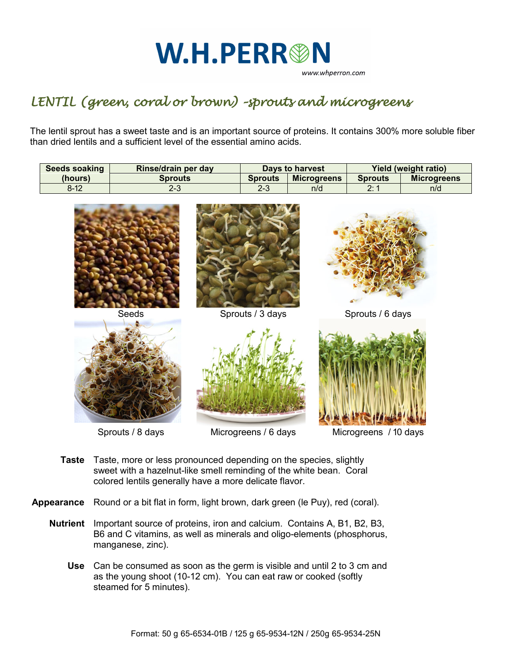## **W.H.PERR®N** www.whperron.com

## *LENTIL (green, coral or brown) –sprouts and microgreens*

The lentil sprout has a sweet taste and is an important source of proteins. It contains 300% more soluble fiber than dried lentils and a sufficient level of the essential amino acids.

| Seeds soaking | Rinse/drain per day | Days to harvest |                    | Yield (weight ratio) |                    |
|---------------|---------------------|-----------------|--------------------|----------------------|--------------------|
| (hours)       | <b>Sprouts</b>      | <b>Sprouts</b>  | <b>Microgreens</b> | <b>Sprouts</b>       | <b>Microgreens</b> |
| $8 - 12$      | د-∠                 | מ ח<br>د-∠      | n/d                | റ. 4<br><u>z.</u>    | n/d                |



- **Taste** Taste, more or less pronounced depending on the species, slightly sweet with a hazelnut-like smell reminding of the white bean. Coral colored lentils generally have a more delicate flavor.
- **Appearance** Round or a bit flat in form, light brown, dark green (le Puy), red (coral).
	- **Nutrient** Important source of proteins, iron and calcium. Contains A, B1, B2, B3, B6 and C vitamins, as well as minerals and oligo-elements (phosphorus, manganese, zinc).
		- **Use** Can be consumed as soon as the germ is visible and until 2 to 3 cm and as the young shoot (10-12 cm). You can eat raw or cooked (softly steamed for 5 minutes).